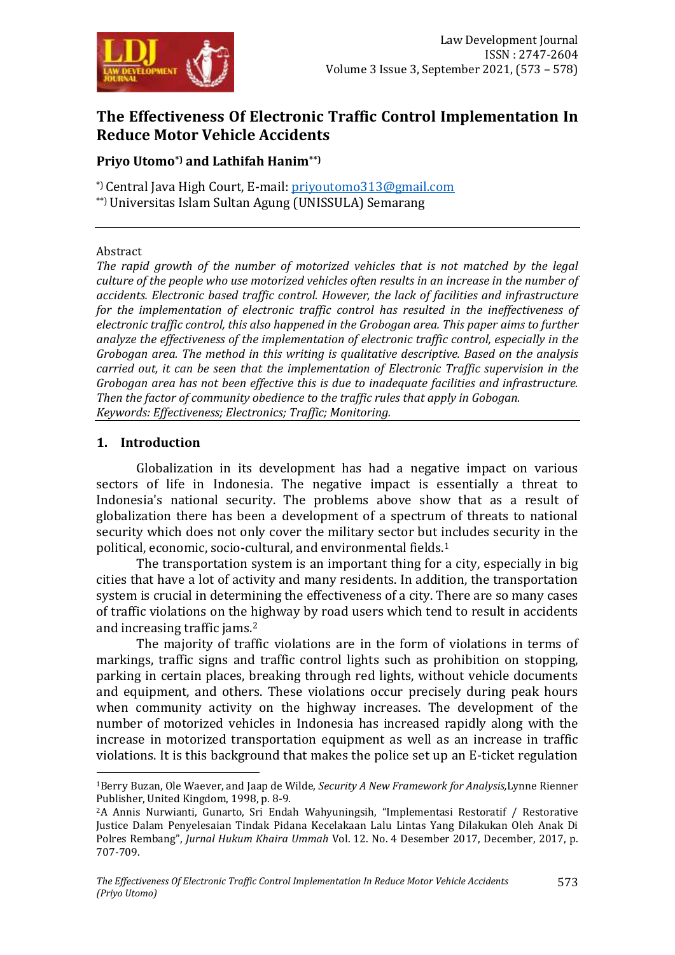

# **The Effectiveness Of Electronic Traffic Control Implementation In Reduce Motor Vehicle Accidents**

## **Priyo Utomo\*) and Lathifah Hanim\*\*)**

\*) Central Java High Court, E-mail: [priyoutomo313@gmail.com](mailto:priyoutomo313@gmail.com) \*\*) Universitas Islam Sultan Agung (UNISSULA) Semarang

#### Abstract

*The rapid growth of the number of motorized vehicles that is not matched by the legal culture of the people who use motorized vehicles often results in an increase in the number of accidents. Electronic based traffic control. However, the lack of facilities and infrastructure for the implementation of electronic traffic control has resulted in the ineffectiveness of electronic traffic control, this also happened in the Grobogan area. This paper aims to further analyze the effectiveness of the implementation of electronic traffic control, especially in the Grobogan area. The method in this writing is qualitative descriptive. Based on the analysis carried out, it can be seen that the implementation of Electronic Traffic supervision in the Grobogan area has not been effective this is due to inadequate facilities and infrastructure. Then the factor of community obedience to the traffic rules that apply in Gobogan. Keywords: Effectiveness; Electronics; Traffic; Monitoring.*

#### **1. Introduction**

1

Globalization in its development has had a negative impact on various sectors of life in Indonesia. The negative impact is essentially a threat to Indonesia's national security. The problems above show that as a result of globalization there has been a development of a spectrum of threats to national security which does not only cover the military sector but includes security in the political, economic, socio-cultural, and environmental fields.<sup>1</sup>

The transportation system is an important thing for a city, especially in big cities that have a lot of activity and many residents. In addition, the transportation system is crucial in determining the effectiveness of a city. There are so many cases of traffic violations on the highway by road users which tend to result in accidents and increasing traffic jams.<sup>2</sup>

The majority of traffic violations are in the form of violations in terms of markings, traffic signs and traffic control lights such as prohibition on stopping, parking in certain places, breaking through red lights, without vehicle documents and equipment, and others. These violations occur precisely during peak hours when community activity on the highway increases. The development of the number of motorized vehicles in Indonesia has increased rapidly along with the increase in motorized transportation equipment as well as an increase in traffic violations. It is this background that makes the police set up an E-ticket regulation

<sup>1</sup>Berry Buzan, Ole Waever, and Jaap de Wilde, *Security A New Framework for Analysis,*Lynne Rienner Publisher, United Kingdom, 1998, p. 8-9.

<sup>2</sup>A Annis Nurwianti, Gunarto, Sri Endah Wahyuningsih, "Implementasi Restoratif / Restorative Justice Dalam Penyelesaian Tindak Pidana Kecelakaan Lalu Lintas Yang Dilakukan Oleh Anak Di Polres Rembang", *Jurnal Hukum Khaira Ummah* Vol. 12. No. 4 Desember 2017, December, 2017, p. 707-709.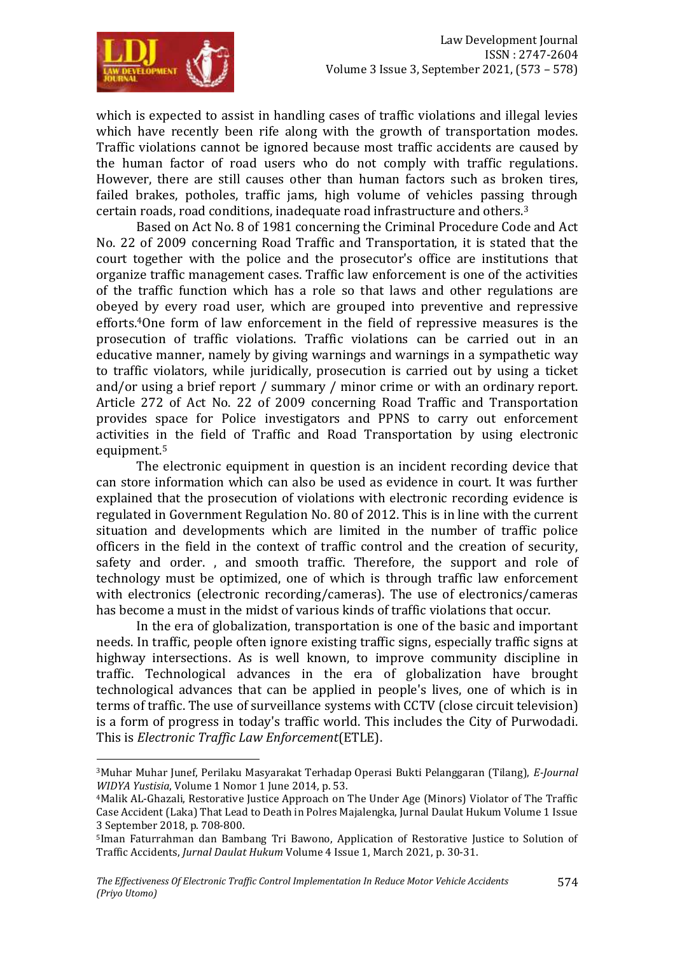

**.** 

which is expected to assist in handling cases of traffic violations and illegal levies which have recently been rife along with the growth of transportation modes. Traffic violations cannot be ignored because most traffic accidents are caused by the human factor of road users who do not comply with traffic regulations. However, there are still causes other than human factors such as broken tires, failed brakes, potholes, traffic jams, high volume of vehicles passing through certain roads, road conditions, inadequate road infrastructure and others.<sup>3</sup>

Based on Act No. 8 of 1981 concerning the Criminal Procedure Code and Act No. 22 of 2009 concerning Road Traffic and Transportation, it is stated that the court together with the police and the prosecutor's office are institutions that organize traffic management cases. Traffic law enforcement is one of the activities of the traffic function which has a role so that laws and other regulations are obeyed by every road user, which are grouped into preventive and repressive efforts.4One form of law enforcement in the field of repressive measures is the prosecution of traffic violations. Traffic violations can be carried out in an educative manner, namely by giving warnings and warnings in a sympathetic way to traffic violators, while juridically, prosecution is carried out by using a ticket and/or using a brief report / summary / minor crime or with an ordinary report. Article 272 of Act No. 22 of 2009 concerning Road Traffic and Transportation provides space for Police investigators and PPNS to carry out enforcement activities in the field of Traffic and Road Transportation by using electronic equipment.<sup>5</sup>

The electronic equipment in question is an incident recording device that can store information which can also be used as evidence in court. It was further explained that the prosecution of violations with electronic recording evidence is regulated in Government Regulation No. 80 of 2012. This is in line with the current situation and developments which are limited in the number of traffic police officers in the field in the context of traffic control and the creation of security, safety and order. , and smooth traffic. Therefore, the support and role of technology must be optimized, one of which is through traffic law enforcement with electronics (electronic recording/cameras). The use of electronics/cameras has become a must in the midst of various kinds of traffic violations that occur.

In the era of globalization, transportation is one of the basic and important needs. In traffic, people often ignore existing traffic signs, especially traffic signs at highway intersections. As is well known, to improve community discipline in traffic. Technological advances in the era of globalization have brought technological advances that can be applied in people's lives, one of which is in terms of traffic. The use of surveillance systems with CCTV (close circuit television) is a form of progress in today's traffic world. This includes the City of Purwodadi. This is *Electronic Traffic Law Enforcement*(ETLE).

<sup>3</sup>Muhar Muhar Junef, Perilaku Masyarakat Terhadap Operasi Bukti Pelanggaran (Tilang), *E-Journal WIDYA Yustisia*, Volume 1 Nomor 1 June 2014, p. 53.

<sup>4</sup>Malik AL-Ghazali, Restorative Justice Approach on The Under Age (Minors) Violator of The Traffic Case Accident (Laka) That Lead to Death in Polres Majalengka, Jurnal Daulat Hukum Volume 1 Issue 3 September 2018, p. 708-800.

<sup>5</sup>Iman Faturrahman dan Bambang Tri Bawono, Application of Restorative Justice to Solution of Traffic Accidents, *Jurnal Daulat Hukum* Volume 4 Issue 1, March 2021, p. 30-31.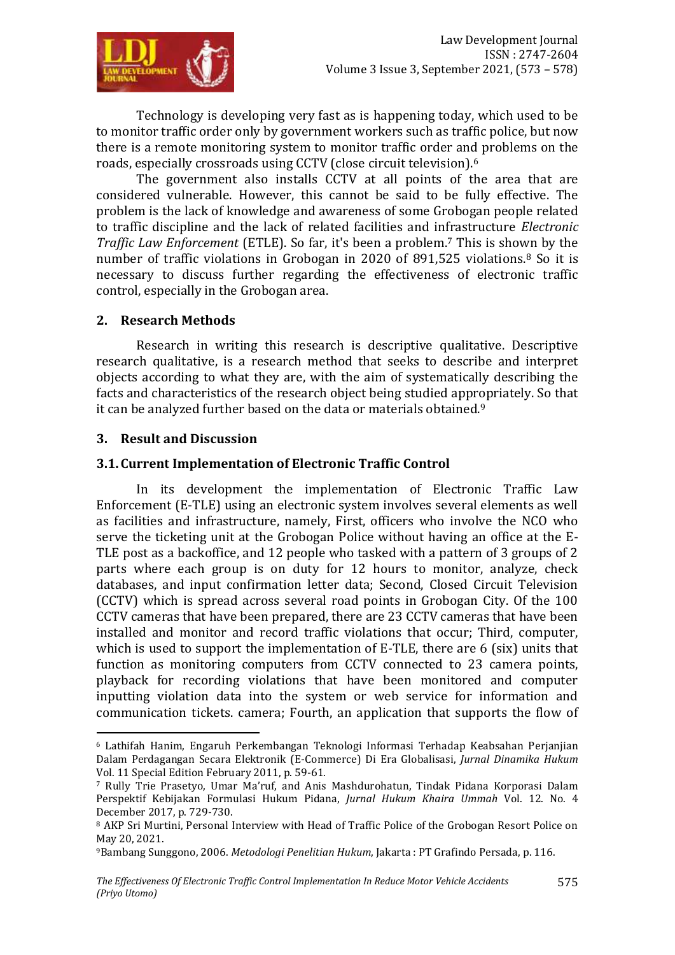

Technology is developing very fast as is happening today, which used to be to monitor traffic order only by government workers such as traffic police, but now there is a remote monitoring system to monitor traffic order and problems on the roads, especially crossroads using CCTV (close circuit television).<sup>6</sup>

The government also installs CCTV at all points of the area that are considered vulnerable. However, this cannot be said to be fully effective. The problem is the lack of knowledge and awareness of some Grobogan people related to traffic discipline and the lack of related facilities and infrastructure *Electronic Traffic Law Enforcement* (ETLE). So far, it's been a problem.<sup>7</sup> This is shown by the number of traffic violations in Grobogan in 2020 of 891,525 violations.<sup>8</sup> So it is necessary to discuss further regarding the effectiveness of electronic traffic control, especially in the Grobogan area.

#### **2. Research Methods**

Research in writing this research is descriptive qualitative. Descriptive research qualitative, is a research method that seeks to describe and interpret objects according to what they are, with the aim of systematically describing the facts and characteristics of the research object being studied appropriately. So that it can be analyzed further based on the data or materials obtained.<sup>9</sup>

#### **3. Result and Discussion**

-

## **3.1.Current Implementation of Electronic Traffic Control**

In its development the implementation of Electronic Traffic Law Enforcement (E-TLE) using an electronic system involves several elements as well as facilities and infrastructure, namely, First, officers who involve the NCO who serve the ticketing unit at the Grobogan Police without having an office at the E-TLE post as a backoffice, and 12 people who tasked with a pattern of 3 groups of 2 parts where each group is on duty for 12 hours to monitor, analyze, check databases, and input confirmation letter data; Second, Closed Circuit Television (CCTV) which is spread across several road points in Grobogan City. Of the 100 CCTV cameras that have been prepared, there are 23 CCTV cameras that have been installed and monitor and record traffic violations that occur; Third, computer, which is used to support the implementation of E-TLE, there are  $6$  (six) units that function as monitoring computers from CCTV connected to 23 camera points, playback for recording violations that have been monitored and computer inputting violation data into the system or web service for information and communication tickets. camera; Fourth, an application that supports the flow of

<sup>6</sup> Lathifah Hanim, Engaruh Perkembangan Teknologi Informasi Terhadap Keabsahan Perjanjian Dalam Perdagangan Secara Elektronik (E-Commerce) Di Era Globalisasi, *Jurnal Dinamika Hukum* Vol. 11 Special Edition February 2011, p. 59-61.

<sup>7</sup> Rully Trie Prasetyo, Umar Ma'ruf, and Anis Mashdurohatun, Tindak Pidana Korporasi Dalam Perspektif Kebijakan Formulasi Hukum Pidana, *Jurnal Hukum Khaira Ummah* Vol. 12. No. 4 December 2017, p. 729-730.

<sup>&</sup>lt;sup>8</sup> AKP Sri Murtini, Personal Interview with Head of Traffic Police of the Grobogan Resort Police on May 20, 2021.

<sup>9</sup>Bambang Sunggono, 2006. *Metodologi Penelitian Hukum*, Jakarta : PT Grafindo Persada, p. 116.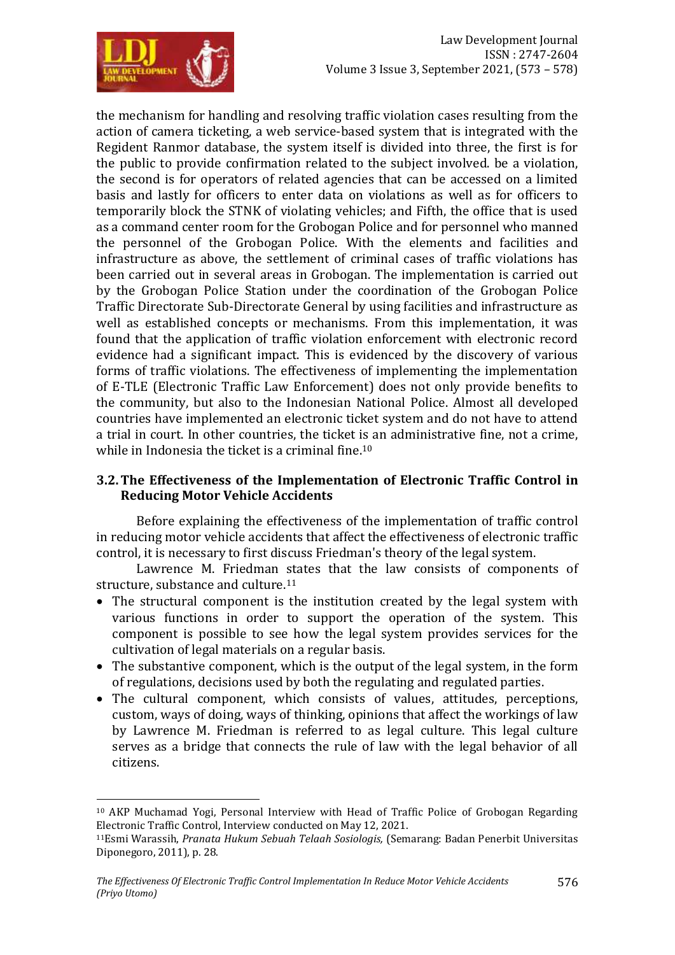

-

the mechanism for handling and resolving traffic violation cases resulting from the action of camera ticketing, a web service-based system that is integrated with the Regident Ranmor database, the system itself is divided into three, the first is for the public to provide confirmation related to the subject involved. be a violation, the second is for operators of related agencies that can be accessed on a limited basis and lastly for officers to enter data on violations as well as for officers to temporarily block the STNK of violating vehicles; and Fifth, the office that is used as a command center room for the Grobogan Police and for personnel who manned the personnel of the Grobogan Police. With the elements and facilities and infrastructure as above, the settlement of criminal cases of traffic violations has been carried out in several areas in Grobogan. The implementation is carried out by the Grobogan Police Station under the coordination of the Grobogan Police Traffic Directorate Sub-Directorate General by using facilities and infrastructure as well as established concepts or mechanisms. From this implementation, it was found that the application of traffic violation enforcement with electronic record evidence had a significant impact. This is evidenced by the discovery of various forms of traffic violations. The effectiveness of implementing the implementation of E-TLE (Electronic Traffic Law Enforcement) does not only provide benefits to the community, but also to the Indonesian National Police. Almost all developed countries have implemented an electronic ticket system and do not have to attend a trial in court. In other countries, the ticket is an administrative fine, not a crime, while in Indonesia the ticket is a criminal fine.<sup>10</sup>

## **3.2.The Effectiveness of the Implementation of Electronic Traffic Control in Reducing Motor Vehicle Accidents**

Before explaining the effectiveness of the implementation of traffic control in reducing motor vehicle accidents that affect the effectiveness of electronic traffic control, it is necessary to first discuss Friedman's theory of the legal system.

Lawrence M. Friedman states that the law consists of components of structure, substance and culture.<sup>11</sup>

- The structural component is the institution created by the legal system with various functions in order to support the operation of the system. This component is possible to see how the legal system provides services for the cultivation of legal materials on a regular basis.
- The substantive component, which is the output of the legal system, in the form of regulations, decisions used by both the regulating and regulated parties.
- The cultural component, which consists of values, attitudes, perceptions, custom, ways of doing, ways of thinking, opinions that affect the workings of law by Lawrence M. Friedman is referred to as legal culture. This legal culture serves as a bridge that connects the rule of law with the legal behavior of all citizens.

<sup>10</sup> AKP Muchamad Yogi, Personal Interview with Head of Traffic Police of Grobogan Regarding Electronic Traffic Control, Interview conducted on May 12, 2021.

<sup>11</sup>Esmi Warassih, *Pranata Hukum Sebuah Telaah Sosiologis,* (Semarang: Badan Penerbit Universitas Diponegoro, 2011), p. 28.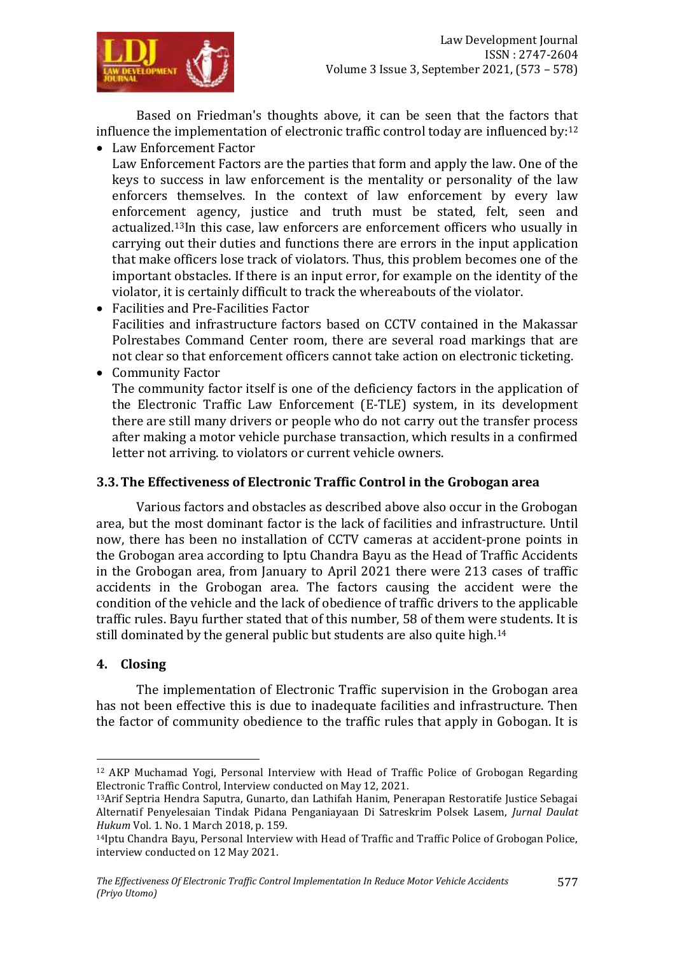

Based on Friedman's thoughts above, it can be seen that the factors that influence the implementation of electronic traffic control today are influenced by:<sup>12</sup>

Law Enforcement Factor

Law Enforcement Factors are the parties that form and apply the law. One of the keys to success in law enforcement is the mentality or personality of the law enforcers themselves. In the context of law enforcement by every law enforcement agency, justice and truth must be stated, felt, seen and actualized.13In this case, law enforcers are enforcement officers who usually in carrying out their duties and functions there are errors in the input application that make officers lose track of violators. Thus, this problem becomes one of the important obstacles. If there is an input error, for example on the identity of the violator, it is certainly difficult to track the whereabouts of the violator.

- Facilities and Pre-Facilities Factor Facilities and infrastructure factors based on CCTV contained in the Makassar Polrestabes Command Center room, there are several road markings that are not clear so that enforcement officers cannot take action on electronic ticketing.
- Community Factor

The community factor itself is one of the deficiency factors in the application of the Electronic Traffic Law Enforcement (E-TLE) system, in its development there are still many drivers or people who do not carry out the transfer process after making a motor vehicle purchase transaction, which results in a confirmed letter not arriving. to violators or current vehicle owners.

## **3.3.The Effectiveness of Electronic Traffic Control in the Grobogan area**

Various factors and obstacles as described above also occur in the Grobogan area, but the most dominant factor is the lack of facilities and infrastructure. Until now, there has been no installation of CCTV cameras at accident-prone points in the Grobogan area according to Iptu Chandra Bayu as the Head of Traffic Accidents in the Grobogan area, from January to April 2021 there were 213 cases of traffic accidents in the Grobogan area. The factors causing the accident were the condition of the vehicle and the lack of obedience of traffic drivers to the applicable traffic rules. Bayu further stated that of this number, 58 of them were students. It is still dominated by the general public but students are also quite high.<sup>14</sup>

# **4. Closing**

**.** 

The implementation of Electronic Traffic supervision in the Grobogan area has not been effective this is due to inadequate facilities and infrastructure. Then the factor of community obedience to the traffic rules that apply in Gobogan. It is

<sup>12</sup> AKP Muchamad Yogi, Personal Interview with Head of Traffic Police of Grobogan Regarding Electronic Traffic Control, Interview conducted on May 12, 2021.

<sup>13</sup>Arif Septria Hendra Saputra, Gunarto, dan Lathifah Hanim, Penerapan Restoratife Justice Sebagai Alternatif Penyelesaian Tindak Pidana Penganiayaan Di Satreskrim Polsek Lasem, *Jurnal Daulat Hukum* Vol. 1. No. 1 March 2018, p. 159.

<sup>&</sup>lt;sup>14</sup>Iptu Chandra Bayu, Personal Interview with Head of Traffic and Traffic Police of Grobogan Police, interview conducted on 12 May 2021.